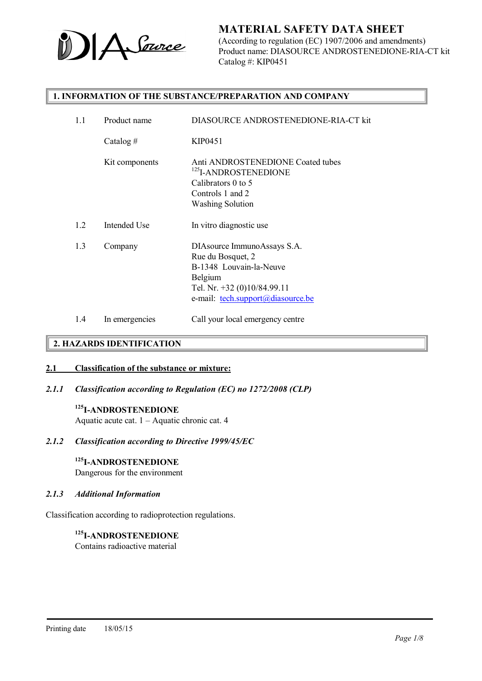

(According to regulation (EC) 1907/2006 and amendments) Product name: DIASOURCE ANDROSTENEDIONE-RIA-CT kit Catalog #: KIP0451

#### 1. INFORMATION OF THE SUBSTANCE/PREPARATION AND COMPANY

| 1.1 | Product name   | DIASOURCE ANDROSTENEDIONE-RIA-CT kit                                                                                                                       |
|-----|----------------|------------------------------------------------------------------------------------------------------------------------------------------------------------|
|     | Catalog #      | KIP0451                                                                                                                                                    |
|     | Kit components | Anti ANDROSTENEDIONE Coated tubes<br><sup>125</sup> I-ANDROSTENEDIONE<br>Calibrators 0 to 5<br>Controls 1 and 2<br><b>Washing Solution</b>                 |
| 1.2 | Intended Use   | In vitro diagnostic use                                                                                                                                    |
| 1.3 | Company        | DIAsource ImmunoAssays S.A.<br>Rue du Bosquet, 2<br>B-1348 Louvain-la-Neuve<br>Belgium<br>Tel. Nr. +32 (0)10/84.99.11<br>e-mail: tech.support@diasource.be |
| 1.4 | In emergencies | Call your local emergency centre                                                                                                                           |

### 2. HAZARDS IDENTIFICATION

#### 2.1 Classification of the substance or mixture:

*2.1.1 Classification according to Regulation (EC) no 1272/2008 (CLP)*

### 125I-ANDROSTENEDIONE

Aquatic acute cat. 1 – Aquatic chronic cat. 4

#### *2.1.2 Classification according to Directive 1999/45/EC*

#### 125I-ANDROSTENEDIONE

Dangerous for the environment

#### *2.1.3 Additional Information*

Classification according to radioprotection regulations.

#### 125I-ANDROSTENEDIONE Contains radioactive material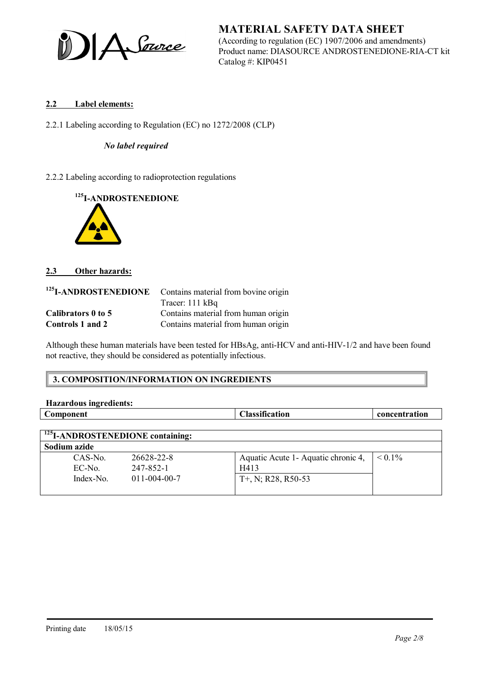A Source

MATERIAL SAFETY DATA SHEET (According to regulation (EC) 1907/2006 and amendments) Product name: DIASOURCE ANDROSTENEDIONE-RIA-CT kit Catalog #: KIP0451

### 2.2 Label elements:

2.2.1 Labeling according to Regulation (EC) no 1272/2008 (CLP)

#### *No label required*

2.2.2 Labeling according to radioprotection regulations





### 2.3 Other hazards:

| <sup>125</sup> I-ANDROSTENEDIONE | Contains material from bovine origin |
|----------------------------------|--------------------------------------|
|                                  | Tracer: $111$ kBq                    |
| Calibrators 0 to 5               | Contains material from human origin  |
| Controls 1 and 2                 | Contains material from human origin  |

Although these human materials have been tested for HBsAg, anti-HCV and anti-HIV-1/2 and have been found not reactive, they should be considered as potentially infectious.

### 3. COMPOSITION/INFORMATION ON INGREDIENTS

| <b>Hazardous ingredients:</b>                |                      |                                      |               |
|----------------------------------------------|----------------------|--------------------------------------|---------------|
| Component                                    |                      | <b>Classification</b>                | concentration |
|                                              |                      |                                      |               |
| <sup>125</sup> I-ANDROSTENEDIONE containing: |                      |                                      |               |
| Sodium azide                                 |                      |                                      |               |
| $CAS-N0$                                     | 26628-22-8           | Aquatic Acute 1 - Aquatic chronic 4, | $\leq 0.1\%$  |
| EC-No.                                       | 247-852-1            | H413                                 |               |
| $Index-N0$                                   | $011 - 004 - 00 - 7$ | $T+$ , N; R28, R50-53                |               |
|                                              |                      |                                      |               |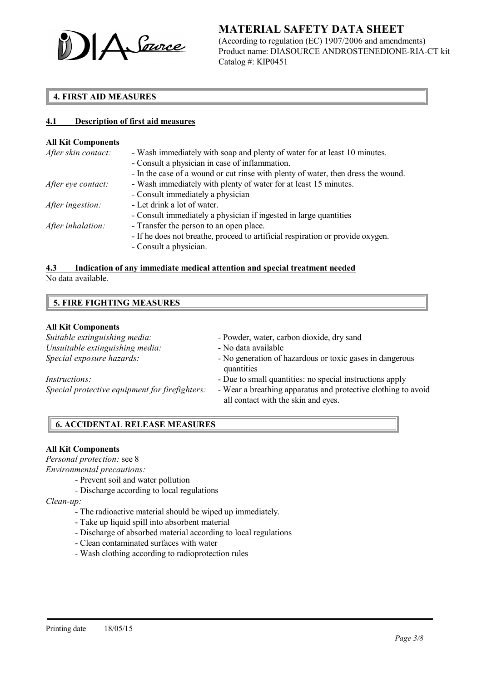

(According to regulation (EC) 1907/2006 and amendments) Product name: DIASOURCE ANDROSTENEDIONE-RIA-CT kit Catalog #: KIP0451

### 4. FIRST AID MEASURES

#### 4.1 Description of first aid measures

#### All Kit Components

| After skin contact: | - Wash immediately with soap and plenty of water for at least 10 minutes.         |
|---------------------|-----------------------------------------------------------------------------------|
|                     | - Consult a physician in case of inflammation.                                    |
|                     | - In the case of a wound or cut rinse with plenty of water, then dress the wound. |
| After eye contact:  | - Wash immediately with plenty of water for at least 15 minutes.                  |
|                     | - Consult immediately a physician                                                 |
| After ingestion:    | - Let drink a lot of water.                                                       |
|                     | - Consult immediately a physician if ingested in large quantities                 |
| After inhalation:   | - Transfer the person to an open place.                                           |
|                     | - If he does not breathe, proceed to artificial respiration or provide oxygen.    |
|                     | - Consult a physician.                                                            |
|                     |                                                                                   |

# 4.3 Indication of any immediate medical attention and special treatment needed

No data available.

| <b>5. FIRE FIGHTING MEASURES</b> |  |
|----------------------------------|--|
|----------------------------------|--|

#### All Kit Components

| Suitable extinguishing media:                  | - Powder, water, carbon dioxide, dry sand                                                            |
|------------------------------------------------|------------------------------------------------------------------------------------------------------|
| Unsuitable extinguishing media:                | - No data available                                                                                  |
| Special exposure hazards:                      | - No generation of hazardous or toxic gases in dangerous<br>quantities                               |
| <i>Instructions:</i>                           | - Due to small quantities: no special instructions apply                                             |
| Special protective equipment for firefighters: | - Wear a breathing apparatus and protective clothing to avoid<br>all contact with the skin and eyes. |

### 6. ACCIDENTAL RELEASE MEASURES

#### All Kit Components

*Personal protection:* see 8

*Environmental precautions:*

- *-* Prevent soil and water pollution
- Discharge according to local regulations

*Clean-up:*

- The radioactive material should be wiped up immediately.
- Take up liquid spill into absorbent material
- Discharge of absorbed material according to local regulations
- Clean contaminated surfaces with water
- Wash clothing according to radioprotection rules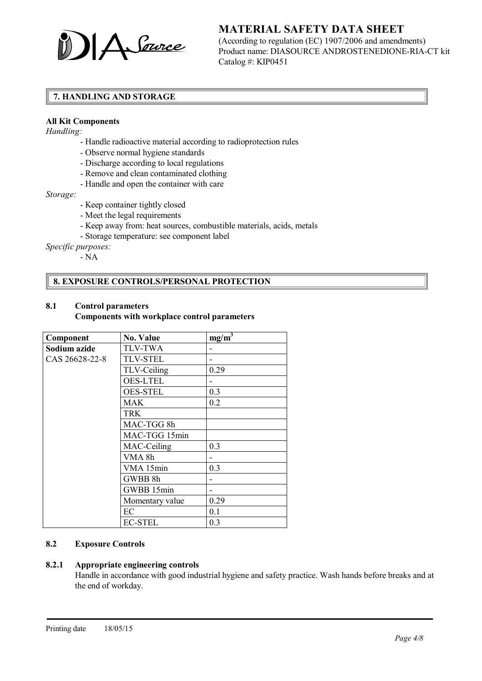

(According to regulation (EC) 1907/2006 and amendments) Product name: DIASOURCE ANDROSTENEDIONE-RIA-CT kit Catalog #: KIP0451

### 7. HANDLING AND STORAGE

#### All Kit Components

*Handling:*

- Handle radioactive material according to radioprotection rules
- Observe normal hygiene standards
- Discharge according to local regulations
- Remove and clean contaminated clothing
- Handle and open the container with care

*Storage:*

- Keep container tightly closed
- Meet the legal requirements
- Keep away from: heat sources, combustible materials, acids, metals
- Storage temperature: see component label

*Specific purposes:*

- NA

### 8. EXPOSURE CONTROLS/PERSONAL PROTECTION

### 8.1 Control parameters

#### Components with workplace control parameters

| Component      | <b>No. Value</b> | $mg/m^3$ |
|----------------|------------------|----------|
| Sodium azide   | <b>TLV-TWA</b>   |          |
| CAS 26628-22-8 | <b>TLV-STEL</b>  |          |
|                | TLV-Ceiling      | 0.29     |
|                | <b>OES-LTEL</b>  |          |
|                | <b>OES-STEL</b>  | 0.3      |
|                | MAK              | 0.2      |
|                | <b>TRK</b>       |          |
|                | MAC-TGG 8h       |          |
|                | MAC-TGG 15min    |          |
|                | MAC-Ceiling      | 0.3      |
|                | VMA 8h           |          |
|                | VMA 15min        | 0.3      |
|                | GWBB 8h          |          |
|                | GWBB 15min       |          |
|                | Momentary value  | 0.29     |
|                | EC               | 0.1      |
|                | <b>EC-STEL</b>   | 0.3      |

### 8.2 Exposure Controls

### 8.2.1 Appropriate engineering controls

Handle in accordance with good industrial hygiene and safety practice. Wash hands before breaks and at the end of workday.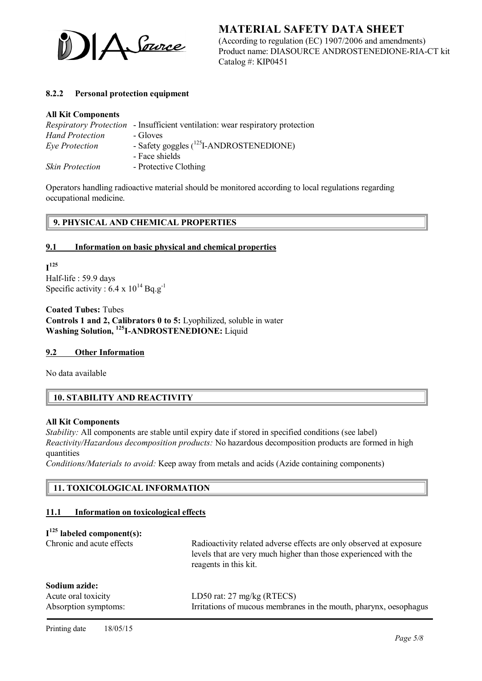

MATERIAL SAFETY DATA SHEET (According to regulation (EC) 1907/2006 and amendments) Product name: DIASOURCE ANDROSTENEDIONE-RIA-CT kit Catalog #: KIP0451

#### 8.2.2 Personal protection equipment

#### All Kit Components

|                        | <i>Respiratory Protection</i> - Insufficient ventilation: wear respiratory protection |
|------------------------|---------------------------------------------------------------------------------------|
| <b>Hand Protection</b> | - Gloves                                                                              |
| Eye Protection         | - Safety goggles $(^{125}I-ANDROSTENEDIONE)$                                          |
|                        | - Face shields                                                                        |
| <b>Skin Protection</b> | - Protective Clothing                                                                 |

Operators handling radioactive material should be monitored according to local regulations regarding occupational medicine.

### 9. PHYSICAL AND CHEMICAL PROPERTIES

#### 9.1 Information on basic physical and chemical properties

 $I^{125}$ Half-life : 59.9 days Specific activity :  $6.4 \times 10^{14}$  Bq.g<sup>-1</sup>

Coated Tubes: Tubes Controls 1 and 2, Calibrators 0 to 5: Lyophilized, soluble in water Washing Solution, <sup>125</sup>I-ANDROSTENEDIONE: Liquid

#### 9.2 Other Information

No data available

### 10. STABILITY AND REACTIVITY

#### All Kit Components

*Stability:* All components are stable until expiry date if stored in specified conditions (see label) *Reactivity/Hazardous decomposition products:* No hazardous decomposition products are formed in high quantities

*Conditions/Materials to avoid:* Keep away from metals and acids (Azide containing components)

#### 11. TOXICOLOGICAL INFORMATION

#### 11.1 Information on toxicological effects

### $I<sup>125</sup>$  labeled component(s):

| Chronic and acute effects                                    | Radioactivity related adverse effects are only observed at exposure<br>levels that are very much higher than those experienced with the<br>reagents in this kit. |
|--------------------------------------------------------------|------------------------------------------------------------------------------------------------------------------------------------------------------------------|
| Sodium azide:<br>Acute oral toxicity<br>Absorption symptoms: | LD50 rat: $27 \text{ mg/kg}$ (RTECS)<br>Irritations of mucous membranes in the mouth, pharynx, oesophagus                                                        |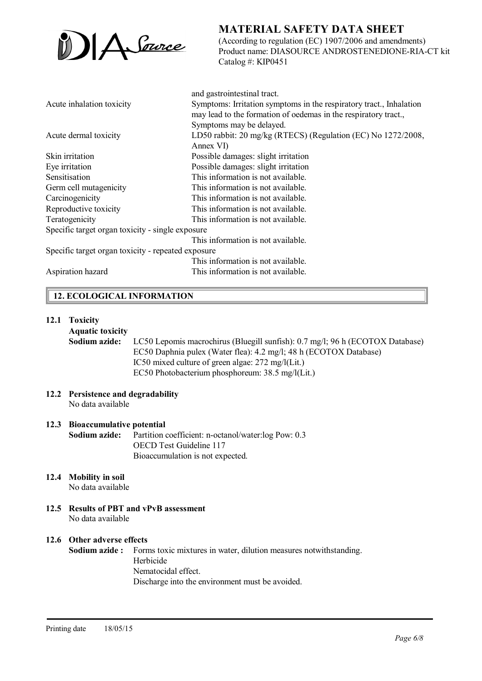

(According to regulation (EC) 1907/2006 and amendments) Product name: DIASOURCE ANDROSTENEDIONE-RIA-CT kit Catalog #: KIP0451

|                                                    | and gastrointestinal tract.                                         |
|----------------------------------------------------|---------------------------------------------------------------------|
| Acute inhalation toxicity                          | Symptoms: Irritation symptoms in the respiratory tract., Inhalation |
|                                                    | may lead to the formation of oedemas in the respiratory tract.,     |
|                                                    | Symptoms may be delayed.                                            |
| Acute dermal toxicity                              | LD50 rabbit: 20 mg/kg (RTECS) (Regulation (EC) No 1272/2008,        |
|                                                    | Annex VI)                                                           |
| Skin irritation                                    | Possible damages: slight irritation                                 |
| Eye irritation                                     | Possible damages: slight irritation                                 |
| Sensitisation                                      | This information is not available.                                  |
| Germ cell mutagenicity                             | This information is not available.                                  |
| Carcinogenicity                                    | This information is not available.                                  |
| Reproductive toxicity                              | This information is not available.                                  |
| Teratogenicity                                     | This information is not available.                                  |
| Specific target organ toxicity - single exposure   |                                                                     |
|                                                    | This information is not available.                                  |
| Specific target organ toxicity - repeated exposure |                                                                     |
|                                                    | This information is not available.                                  |
| Aspiration hazard                                  | This information is not available.                                  |

### 12. ECOLOGICAL INFORMATION

#### 12.1 Toxicity

#### Aquatic toxicity

Sodium azide: LC50 Lepomis macrochirus (Bluegill sunfish): 0.7 mg/l; 96 h (ECOTOX Database) EC50 Daphnia pulex (Water flea): 4.2 mg/l; 48 h (ECOTOX Database) IC50 mixed culture of green algae: 272 mg/l(Lit.) EC50 Photobacterium phosphoreum: 38.5 mg/l(Lit.)

12.2 Persistence and degradability No data available

#### 12.3 Bioaccumulative potential

Sodium azide: Partition coefficient: n-octanol/water:log Pow: 0.3 OECD Test Guideline 117 Bioaccumulation is not expected.

12.4 Mobility in soil

No data available

12.5 Results of PBT and vPvB assessment No data available

#### 12.6 Other adverse effects

Sodium azide : Forms toxic mixtures in water, dilution measures notwithstanding. Herbicide Nematocidal effect. Discharge into the environment must be avoided.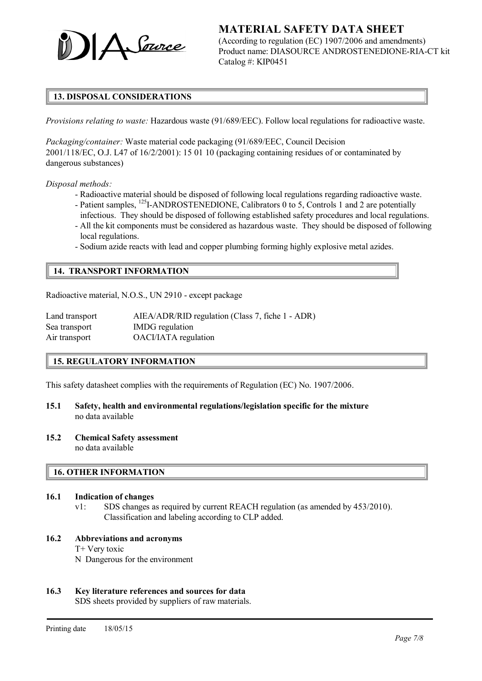

(According to regulation (EC) 1907/2006 and amendments) Product name: DIASOURCE ANDROSTENEDIONE-RIA-CT kit Catalog #: KIP0451

### 13. DISPOSAL CONSIDERATIONS

*Provisions relating to waste:* Hazardous waste (91/689/EEC). Follow local regulations for radioactive waste.

*Packaging/container:* Waste material code packaging (91/689/EEC, Council Decision 2001/118/EC, O.J. L47 of 16/2/2001): 15 01 10 (packaging containing residues of or contaminated by dangerous substances)

*Disposal methods:*

- Radioactive material should be disposed of following local regulations regarding radioactive waste.
- Patient samples, <sup>125</sup>I-ANDROSTENEDIONE, Calibrators 0 to 5, Controls 1 and 2 are potentially infectious. They should be disposed of following established safety procedures and local regulations.
- All the kit components must be considered as hazardous waste. They should be disposed of following local regulations.
- Sodium azide reacts with lead and copper plumbing forming highly explosive metal azides.

#### 14. TRANSPORT INFORMATION

Radioactive material, N.O.S., UN 2910 - except package

| Land transport | AIEA/ADR/RID regulation (Class 7, fiche 1 - ADR) |
|----------------|--------------------------------------------------|
| Sea transport  | IMDG regulation                                  |
| Air transport  | OACI/IATA regulation                             |

#### 15. REGULATORY INFORMATION

This safety datasheet complies with the requirements of Regulation (EC) No. 1907/2006.

- 15.1 Safety, health and environmental regulations/legislation specific for the mixture no data available
- 15.2 Chemical Safety assessment no data available

#### 16. OTHER INFORMATION

- 16.1 Indication of changes
	- v1: SDS changes as required by current REACH regulation (as amended by 453/2010). Classification and labeling according to CLP added.
- 16.2 Abbreviations and acronyms
	- T+ Very toxic
	- N Dangerous for the environment

#### 16.3 Key literature references and sources for data

SDS sheets provided by suppliers of raw materials.